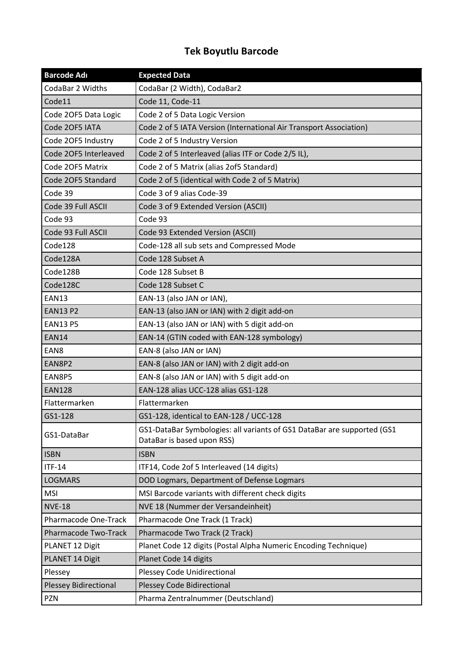## **Tek Boyutlu Barcode**

| <b>Barcode Adı</b>           | <b>Expected Data</b>                                                                                  |
|------------------------------|-------------------------------------------------------------------------------------------------------|
| CodaBar 2 Widths             | CodaBar (2 Width), CodaBar2                                                                           |
| Code11                       | Code 11, Code-11                                                                                      |
| Code 20F5 Data Logic         | Code 2 of 5 Data Logic Version                                                                        |
| Code 20F5 IATA               | Code 2 of 5 IATA Version (International Air Transport Association)                                    |
| Code 2OF5 Industry           | Code 2 of 5 Industry Version                                                                          |
| Code 20F5 Interleaved        | Code 2 of 5 Interleaved (alias ITF or Code 2/5 IL),                                                   |
| Code 20F5 Matrix             | Code 2 of 5 Matrix (alias 2of5 Standard)                                                              |
| Code 2OF5 Standard           | Code 2 of 5 (identical with Code 2 of 5 Matrix)                                                       |
| Code 39                      | Code 3 of 9 alias Code-39                                                                             |
| Code 39 Full ASCII           | Code 3 of 9 Extended Version (ASCII)                                                                  |
| Code 93                      | Code 93                                                                                               |
| Code 93 Full ASCII           | Code 93 Extended Version (ASCII)                                                                      |
| Code128                      | Code-128 all sub sets and Compressed Mode                                                             |
| Code128A                     | Code 128 Subset A                                                                                     |
| Code128B                     | Code 128 Subset B                                                                                     |
| Code128C                     | Code 128 Subset C                                                                                     |
| EAN13                        | EAN-13 (also JAN or IAN),                                                                             |
| <b>EAN13 P2</b>              | EAN-13 (also JAN or IAN) with 2 digit add-on                                                          |
| <b>EAN13 P5</b>              | EAN-13 (also JAN or IAN) with 5 digit add-on                                                          |
| <b>EAN14</b>                 | EAN-14 (GTIN coded with EAN-128 symbology)                                                            |
| EAN <sub>8</sub>             | EAN-8 (also JAN or IAN)                                                                               |
| EAN8P2                       | EAN-8 (also JAN or IAN) with 2 digit add-on                                                           |
| EAN8P5                       | EAN-8 (also JAN or IAN) with 5 digit add-on                                                           |
| <b>EAN128</b>                | EAN-128 alias UCC-128 alias GS1-128                                                                   |
| Flattermarken                | Flattermarken                                                                                         |
| GS1-128                      | GS1-128, identical to EAN-128 / UCC-128                                                               |
| GS1-DataBar                  | GS1-DataBar Symbologies: all variants of GS1 DataBar are supported (GS1<br>DataBar is based upon RSS) |
| <b>ISBN</b>                  | <b>ISBN</b>                                                                                           |
| $ITF-14$                     | ITF14, Code 2of 5 Interleaved (14 digits)                                                             |
| <b>LOGMARS</b>               | DOD Logmars, Department of Defense Logmars                                                            |
| <b>MSI</b>                   | MSI Barcode variants with different check digits                                                      |
| <b>NVE-18</b>                | NVE 18 (Nummer der Versandeinheit)                                                                    |
| <b>Pharmacode One-Track</b>  | Pharmacode One Track (1 Track)                                                                        |
| Pharmacode Two-Track         | Pharmacode Two Track (2 Track)                                                                        |
| PLANET 12 Digit              | Planet Code 12 digits (Postal Alpha Numeric Encoding Technique)                                       |
| PLANET 14 Digit              | Planet Code 14 digits                                                                                 |
| Plessey                      | <b>Plessey Code Unidirectional</b>                                                                    |
| <b>Plessey Bidirectional</b> | <b>Plessey Code Bidirectional</b>                                                                     |
| <b>PZN</b>                   | Pharma Zentralnummer (Deutschland)                                                                    |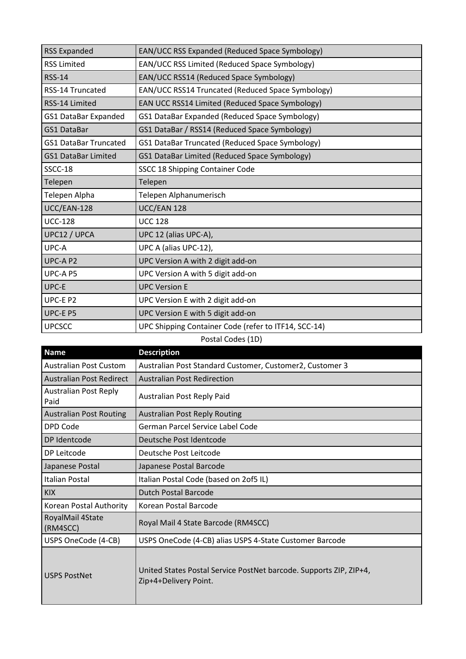| <b>RSS Expanded</b>          | EAN/UCC RSS Expanded (Reduced Space Symbology)       |
|------------------------------|------------------------------------------------------|
| <b>RSS Limited</b>           | EAN/UCC RSS Limited (Reduced Space Symbology)        |
| <b>RSS-14</b>                | EAN/UCC RSS14 (Reduced Space Symbology)              |
| <b>RSS-14 Truncated</b>      | EAN/UCC RSS14 Truncated (Reduced Space Symbology)    |
| RSS-14 Limited               | EAN UCC RSS14 Limited (Reduced Space Symbology)      |
| <b>GS1 DataBar Expanded</b>  | GS1 DataBar Expanded (Reduced Space Symbology)       |
| GS1 DataBar                  | GS1 DataBar / RSS14 (Reduced Space Symbology)        |
| <b>GS1 DataBar Truncated</b> | GS1 DataBar Truncated (Reduced Space Symbology)      |
| <b>GS1 DataBar Limited</b>   | GS1 DataBar Limited (Reduced Space Symbology)        |
| SSCC-18                      | SSCC 18 Shipping Container Code                      |
| Telepen                      | Telepen                                              |
| Telepen Alpha                | Telepen Alphanumerisch                               |
| UCC/EAN-128                  | UCC/EAN 128                                          |
| <b>UCC-128</b>               | <b>UCC 128</b>                                       |
| UPC12 / UPCA                 | UPC 12 (alias UPC-A),                                |
| UPC-A                        | UPC A (alias UPC-12),                                |
| UPC-A P2                     | UPC Version A with 2 digit add-on                    |
| UPC-A P5                     | UPC Version A with 5 digit add-on                    |
| UPC-E                        | <b>UPC Version E</b>                                 |
| UPC-E P2                     | UPC Version E with 2 digit add-on                    |
| UPC-E P5                     | UPC Version E with 5 digit add-on                    |
| <b>UPCSCC</b>                | UPC Shipping Container Code (refer to ITF14, SCC-14) |

## Postal Codes (1D)

| <b>Name</b>                          | <b>Description</b>                                                                          |
|--------------------------------------|---------------------------------------------------------------------------------------------|
| <b>Australian Post Custom</b>        | Australian Post Standard Customer, Customer2, Customer 3                                    |
| Australian Post Redirect             | <b>Australian Post Redirection</b>                                                          |
| <b>Australian Post Reply</b><br>Paid | Australian Post Reply Paid                                                                  |
| <b>Australian Post Routing</b>       | <b>Australian Post Reply Routing</b>                                                        |
| <b>DPD Code</b>                      | German Parcel Service Label Code                                                            |
| DP Identcode                         | Deutsche Post Identcode                                                                     |
| DP Leitcode                          | Deutsche Post Leitcode                                                                      |
| Japanese Postal                      | Japanese Postal Barcode                                                                     |
| Italian Postal                       | Italian Postal Code (based on 2of5 IL)                                                      |
| <b>KIX</b>                           | <b>Dutch Postal Barcode</b>                                                                 |
| Korean Postal Authority              | Korean Postal Barcode                                                                       |
| RoyalMail 4State<br>(RM4SCC)         | Royal Mail 4 State Barcode (RM4SCC)                                                         |
| USPS OneCode (4-CB)                  | USPS OneCode (4-CB) alias USPS 4-State Customer Barcode                                     |
| <b>USPS PostNet</b>                  | United States Postal Service PostNet barcode. Supports ZIP, ZIP+4,<br>Zip+4+Delivery Point. |